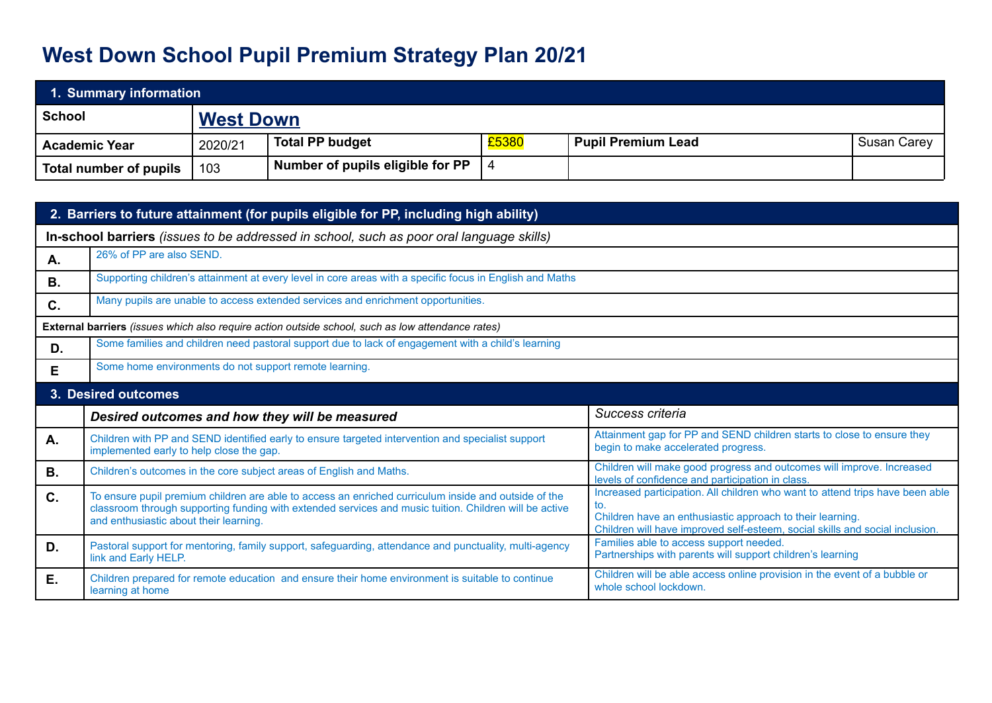## **West Down School Pupil Premium Strategy Plan 20/21**

| 1. Summary information |                  |                                  |       |                           |                    |  |
|------------------------|------------------|----------------------------------|-------|---------------------------|--------------------|--|
| School                 | <b>West Down</b> |                                  |       |                           |                    |  |
| <b>Academic Year</b>   | 2020/21          | <b>Total PP budget</b>           | £5380 | <b>Pupil Premium Lead</b> | <b>Susan Carey</b> |  |
| Total number of pupils | 103              | Number of pupils eligible for PP |       |                           |                    |  |

| 2. Barriers to future attainment (for pupils eligible for PP, including high ability)    |                                                                                                                                                                                                                                                          |                                                                                                                                                                                                                                   |  |  |  |
|------------------------------------------------------------------------------------------|----------------------------------------------------------------------------------------------------------------------------------------------------------------------------------------------------------------------------------------------------------|-----------------------------------------------------------------------------------------------------------------------------------------------------------------------------------------------------------------------------------|--|--|--|
| In-school barriers (issues to be addressed in school, such as poor oral language skills) |                                                                                                                                                                                                                                                          |                                                                                                                                                                                                                                   |  |  |  |
| Α.                                                                                       | 26% of PP are also SEND.                                                                                                                                                                                                                                 |                                                                                                                                                                                                                                   |  |  |  |
| <b>B.</b>                                                                                | Supporting children's attainment at every level in core areas with a specific focus in English and Maths                                                                                                                                                 |                                                                                                                                                                                                                                   |  |  |  |
| C.                                                                                       | Many pupils are unable to access extended services and enrichment opportunities.                                                                                                                                                                         |                                                                                                                                                                                                                                   |  |  |  |
|                                                                                          | External barriers (issues which also require action outside school, such as low attendance rates)                                                                                                                                                        |                                                                                                                                                                                                                                   |  |  |  |
| D.                                                                                       | Some families and children need pastoral support due to lack of engagement with a child's learning                                                                                                                                                       |                                                                                                                                                                                                                                   |  |  |  |
| Е                                                                                        | Some home environments do not support remote learning.                                                                                                                                                                                                   |                                                                                                                                                                                                                                   |  |  |  |
| 3. Desired outcomes                                                                      |                                                                                                                                                                                                                                                          |                                                                                                                                                                                                                                   |  |  |  |
|                                                                                          | Desired outcomes and how they will be measured                                                                                                                                                                                                           | Success criteria                                                                                                                                                                                                                  |  |  |  |
| Α.                                                                                       | Children with PP and SEND identified early to ensure targeted intervention and specialist support<br>implemented early to help close the gap.                                                                                                            | Attainment gap for PP and SEND children starts to close to ensure they<br>begin to make accelerated progress.                                                                                                                     |  |  |  |
| <b>B.</b>                                                                                | Children's outcomes in the core subject areas of English and Maths.                                                                                                                                                                                      | Children will make good progress and outcomes will improve. Increased<br>levels of confidence and participation in class.                                                                                                         |  |  |  |
| $C_{1}$                                                                                  | To ensure pupil premium children are able to access an enriched curriculum inside and outside of the<br>classroom through supporting funding with extended services and music tuition. Children will be active<br>and enthusiastic about their learning. | Increased participation. All children who want to attend trips have been able<br>to.<br>Children have an enthusiastic approach to their learning.<br>Children will have improved self-esteem, social skills and social inclusion. |  |  |  |
| D.                                                                                       | Pastoral support for mentoring, family support, safeguarding, attendance and punctuality, multi-agency<br>link and Early HELP.                                                                                                                           | Families able to access support needed.<br>Partnerships with parents will support children's learning                                                                                                                             |  |  |  |
| Е.                                                                                       | Children prepared for remote education and ensure their home environment is suitable to continue                                                                                                                                                         | Children will be able access online provision in the event of a bubble or<br>whole school lockdown.                                                                                                                               |  |  |  |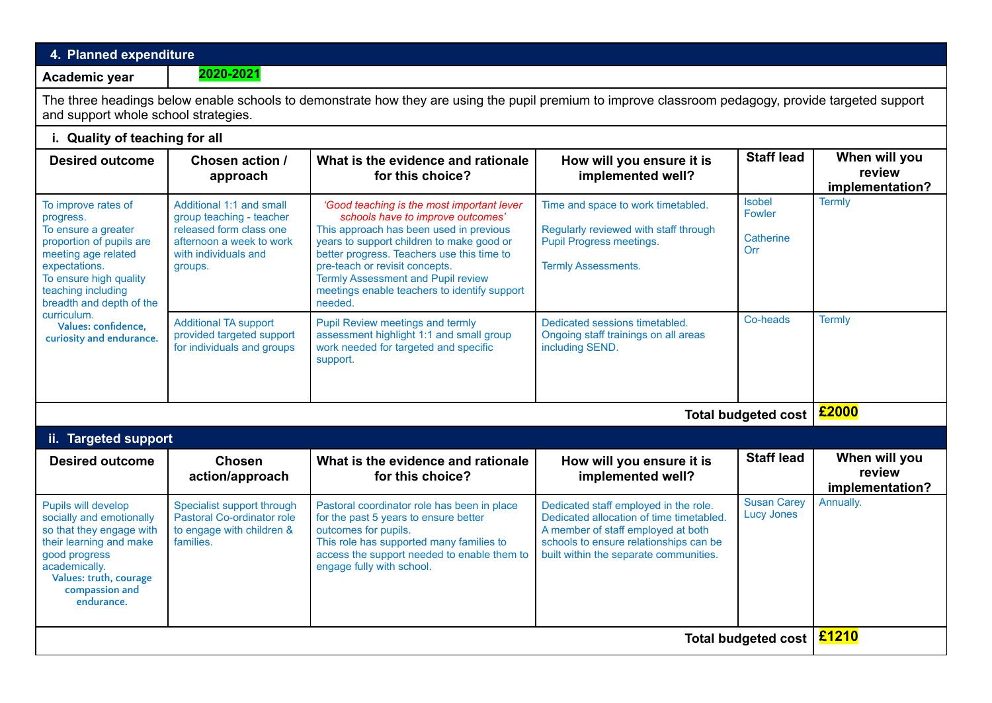## **4. Planned expenditure Academic year 2020-2021** The three headings below enable schools to demonstrate how they are using the pupil premium to improve classroom pedagogy, provide targeted support and support whole school strategies. **i. Quality of teaching for all Desired outcome Chosen action / approach What is the evidence and rationale for this choice? How will you ensure it is implemented well? Staff lead When will you review implementation?** To improve rates of progress. To ensure a greater proportion of pupils are meeting age related expectations. To ensure high quality teaching including breadth and depth of the curriculum. **Values: confidence, curiosity and endurance.** Additional 1:1 and small group teaching - teacher released form class one afternoon a week to work with individuals and groups. *'Good teaching is the most important lever schools have to improve outcomes'* This approach has been used in previous years to support children to make good or better progress. Teachers use this time to pre-teach or revisit concepts. Termly Assessment and Pupil review meetings enable teachers to identify support needed. Time and space to work timetabled. Regularly reviewed with staff through Pupil Progress meetings. Termly Assessments. Isobel Fowler **Catherine** Orr **Termly** Additional TA support provided targeted support for individuals and groups Pupil Review meetings and termly assessment highlight 1:1 and small group work needed for targeted and specific support. Dedicated sessions timetabled. Ongoing staff trainings on all areas including SEND. Co-heads Termly **Total budgeted cost £2000 ii. Targeted support Desired outcome Chosen action/approach What is the evidence and rationale for this choice? How will you ensure it is implemented well? Staff lead When will you review implementation?** Pupils will develop socially and emotionally so that they engage with their learning and make good progress academically. **Values: truth, courage compassion and endurance.** Specialist support through Pastoral Co-ordinator role to engage with children & families. Pastoral coordinator role has been in place for the past 5 years to ensure better outcomes for pupils. This role has supported many families to access the support needed to enable them to engage fully with school. Dedicated staff employed in the role. Dedicated allocation of time timetabled. A member of staff employed at both schools to ensure relationships can be built within the separate communities. Susan Carey Lucy Jones Annually.

**Total budgeted cost £1210**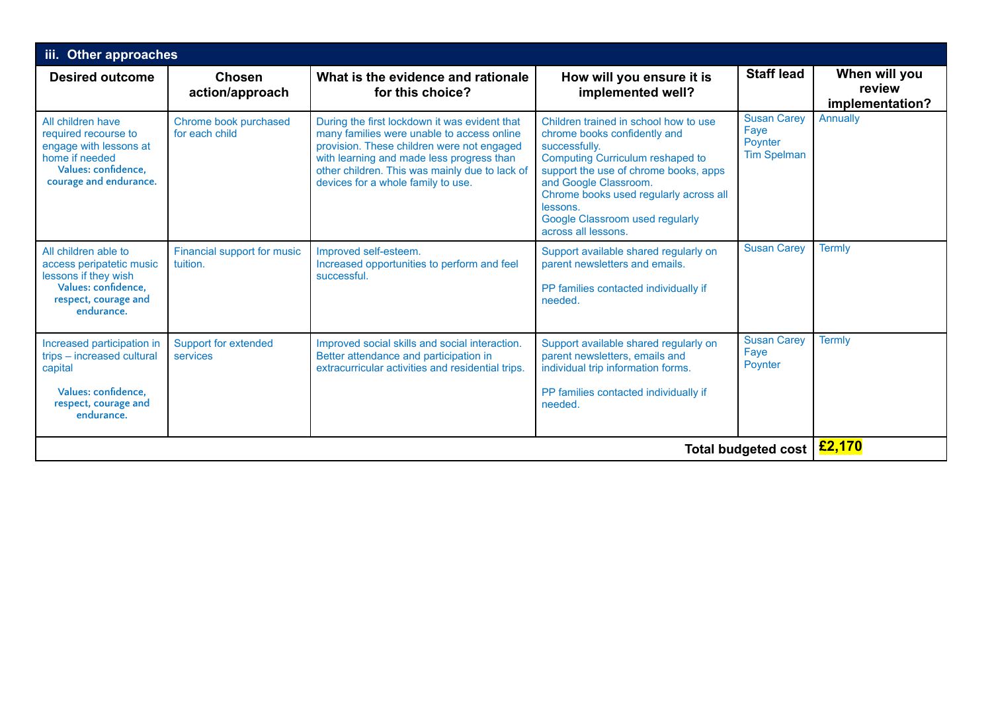| iii. Other approaches                                                                                                                  |                                         |                                                                                                                                                                                                                                                                                |                                                                                                                                                                                                                                                                                                              |                                                             |                                            |  |
|----------------------------------------------------------------------------------------------------------------------------------------|-----------------------------------------|--------------------------------------------------------------------------------------------------------------------------------------------------------------------------------------------------------------------------------------------------------------------------------|--------------------------------------------------------------------------------------------------------------------------------------------------------------------------------------------------------------------------------------------------------------------------------------------------------------|-------------------------------------------------------------|--------------------------------------------|--|
| <b>Desired outcome</b>                                                                                                                 | <b>Chosen</b><br>action/approach        | What is the evidence and rationale<br>for this choice?                                                                                                                                                                                                                         | How will you ensure it is<br>implemented well?                                                                                                                                                                                                                                                               | <b>Staff lead</b>                                           | When will you<br>review<br>implementation? |  |
| All children have<br>required recourse to<br>engage with lessons at<br>home if needed<br>Values: confidence.<br>courage and endurance. | Chrome book purchased<br>for each child | During the first lockdown it was evident that<br>many families were unable to access online<br>provision. These children were not engaged<br>with learning and made less progress than<br>other children. This was mainly due to lack of<br>devices for a whole family to use. | Children trained in school how to use<br>chrome books confidently and<br>successfully.<br>Computing Curriculum reshaped to<br>support the use of chrome books, apps<br>and Google Classroom.<br>Chrome books used regularly across all<br>lessons.<br>Google Classroom used regularly<br>across all lessons. | <b>Susan Carey</b><br>Faye<br>Poynter<br><b>Tim Spelman</b> | Annually                                   |  |
| All children able to<br>access peripatetic music<br>lessons if they wish<br>Values: confidence.<br>respect, courage and<br>endurance.  | Financial support for music<br>tuition. | Improved self-esteem.<br>Increased opportunities to perform and feel<br>successful.                                                                                                                                                                                            | Support available shared regularly on<br>parent newsletters and emails.<br>PP families contacted individually if<br>needed.                                                                                                                                                                                  | <b>Susan Carey</b>                                          | <b>Termly</b>                              |  |
| Increased participation in<br>trips - increased cultural<br>capital<br>Values: confidence.<br>respect, courage and<br>endurance.       | <b>Support for extended</b><br>services | Improved social skills and social interaction.<br>Better attendance and participation in<br>extracurricular activities and residential trips.                                                                                                                                  | Support available shared regularly on<br>parent newsletters, emails and<br>individual trip information forms.<br>PP families contacted individually if<br>needed.                                                                                                                                            | <b>Susan Carey</b><br>Faye<br>Poynter                       | <b>Termly</b>                              |  |
| <b>Total budgeted cost</b>                                                                                                             |                                         |                                                                                                                                                                                                                                                                                |                                                                                                                                                                                                                                                                                                              |                                                             |                                            |  |